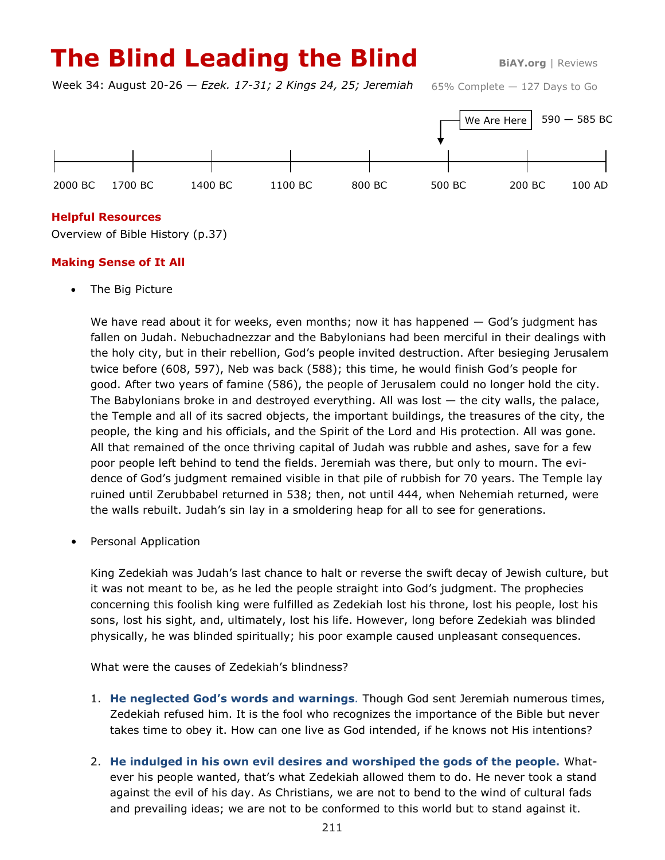# **The Blind Leading the Blind BIAY.org | Reviews**

Week 34: August 20-26 — *Ezek. 17-31; 2 Kings 24, 25; Jeremiah*

65% Complete — 127 Days to Go



# **Helpful Resources**

Overview of Bible History (p.37)

# **Making Sense of It All**

The Big Picture

We have read about it for weeks, even months; now it has happened  $-$  God's judgment has fallen on Judah. Nebuchadnezzar and the Babylonians had been merciful in their dealings with the holy city, but in their rebellion, God's people invited destruction. After besieging Jerusalem twice before (608, 597), Neb was back (588); this time, he would finish God's people for good. After two years of famine (586), the people of Jerusalem could no longer hold the city. The Babylonians broke in and destroyed everything. All was lost — the city walls, the palace, the Temple and all of its sacred objects, the important buildings, the treasures of the city, the people, the king and his officials, and the Spirit of the Lord and His protection. All was gone. All that remained of the once thriving capital of Judah was rubble and ashes, save for a few poor people left behind to tend the fields. Jeremiah was there, but only to mourn. The evidence of God's judgment remained visible in that pile of rubbish for 70 years. The Temple lay ruined until Zerubbabel returned in 538; then, not until 444, when Nehemiah returned, were the walls rebuilt. Judah's sin lay in a smoldering heap for all to see for generations.

• Personal Application

King Zedekiah was Judah's last chance to halt or reverse the swift decay of Jewish culture, but it was not meant to be, as he led the people straight into God's judgment. The prophecies concerning this foolish king were fulfilled as Zedekiah lost his throne, lost his people, lost his sons, lost his sight, and, ultimately, lost his life. However, long before Zedekiah was blinded physically, he was blinded spiritually; his poor example caused unpleasant consequences.

What were the causes of Zedekiah's blindness?

- 1. **He neglected God's words and warnings***.* Though God sent Jeremiah numerous times, Zedekiah refused him. It is the fool who recognizes the importance of the Bible but never takes time to obey it. How can one live as God intended, if he knows not His intentions?
- 2. **He indulged in his own evil desires and worshiped the gods of the people.** Whatever his people wanted, that's what Zedekiah allowed them to do. He never took a stand against the evil of his day. As Christians, we are not to bend to the wind of cultural fads and prevailing ideas; we are not to be conformed to this world but to stand against it.